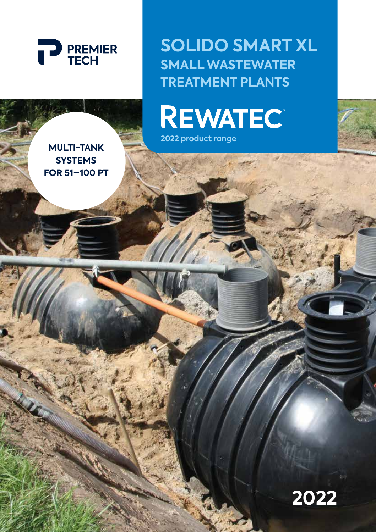

**SOLIDO SMART XL SMALL WASTEWATER TREATMENT PLANTS**

**REWATEC** 

**2022 product range**

**MULTI-TANK SYSTEMS FOR 51–100 PT**

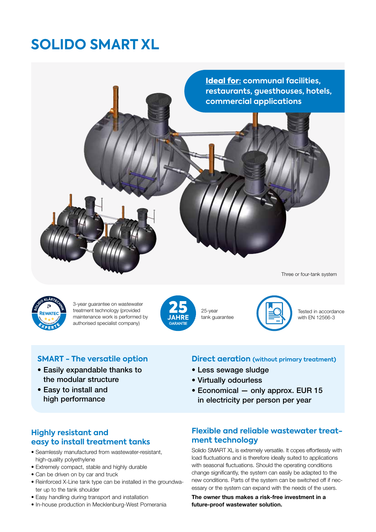# **SOLIDO SMART XL**



Three or four-tank system



3-year guarantee on wastewater treatment technology (provided maintenance work is performed by authorised specialist company)



25-year tank guarantee



Tested in accordance with EN 12566-3

## **SMART - The versatile option**

- Easily expandable thanks to the modular structure
- Easy to install and high performance

#### **Direct aeration (without primary treatment)**

- Less sewage sludge
- Virtually odourless
- Economical only approx. EUR 15 in electricity per person per year

### **Highly resistant and easy to install treatment tanks**

- Seamlessly manufactured from wastewater-resistant, high-quality polyethylene
- Extremely compact, stable and highly durable
- Can be driven on by car and truck
- Reinforced X-Line tank type can be installed in the groundwater up to the tank shoulder
- Easy handling during transport and installation
- In-house production in Mecklenburg-West Pomerania

### **Flexible and reliable wastewater treatment technology**

Solido SMART XL is extremely versatile. It copes effortlessly with load fluctuations and is therefore ideally suited to applications with seasonal fluctuations. Should the operating conditions change significantly, the system can easily be adapted to the new conditions. Parts of the system can be switched off if necessary or the system can expand with the needs of the users.

The owner thus makes a risk-free investment in a future-proof wastewater solution.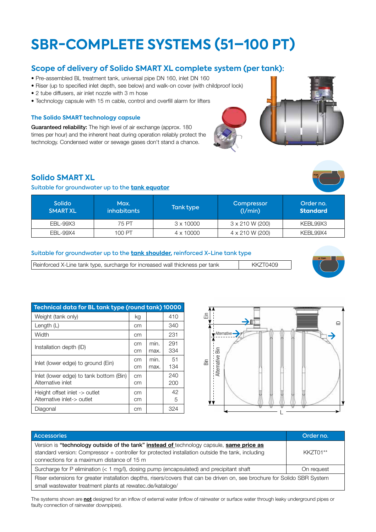# **SBR-COMPLETE SYSTEMS (51–100 PT)**

#### **Scope of delivery of Solido SMART XL complete system (per tank):**

- Pre-assembled BL treatment tank, universal pipe DN 160, inlet DN 160
- Riser (up to specified inlet depth, see below) and walk-on cover (with childproof lock)
- 2 tube diffusers, air inlet nozzle with 3 m hose
- Technology capsule with 15 m cable, control and overfill alarm for lifters

#### **The Solido SMART technology capsule**

Guaranteed reliability: The high level of air exchange (approx. 180 times per hour) and the inherent heat during operation reliably protect the technology. Condensed water or sewage gases don't stand a chance.

#### **Solido SMART XL**

#### Suitable for groundwater up to the **tank equator**

| <b>Solido</b><br><b>SMART XL</b> | Max.<br><i>inhabitants</i> | Tank type        | Compressor<br>(1/min) | Order no.<br><b>Standard</b> |
|----------------------------------|----------------------------|------------------|-----------------------|------------------------------|
| EBL-99X3                         | 75 PT                      | $3 \times 10000$ | 3 x 210 W (200)       | KEBL99X3                     |
| EBL-99X4                         | 100 PT                     | $4 \times 10000$ | 4 x 210 W (200)       | KEBL99X4                     |

#### Suitable for groundwater up to the **tank shoulder,** reinforced X-Line tank type

Reinforced X-Line tank type, surcharge for increased wall thickness per tank KKZT0409

| Technical data for BL tank type (round tank) 10000           |          |              |            |  |
|--------------------------------------------------------------|----------|--------------|------------|--|
| Weight (tank only)                                           | kg       |              | 410        |  |
| Length $(L)$                                                 | cm       |              | 340        |  |
| Width                                                        | cm       |              | 231        |  |
| Installation depth (ID)                                      | cm<br>cm | min.<br>max. | 291<br>334 |  |
| Inlet (lower edge) to ground (Ein)                           | cm<br>cm | min.<br>max. | 51<br>134  |  |
| Inlet (lower edge) to tank bottom (Bin)<br>Alternative inlet | cm<br>cm |              | 240<br>200 |  |
| Height offset inlet -> outlet<br>Alternative inlet-> outlet  | cm<br>cm |              | 42<br>5    |  |
| Diagonal                                                     | cm       |              | 324        |  |



| <b>Accessories</b>                                                                                                                                                                                                                                       | Order no.  |  |  |  |
|----------------------------------------------------------------------------------------------------------------------------------------------------------------------------------------------------------------------------------------------------------|------------|--|--|--|
| Version is "technology outside of the tank" <i>instead of</i> technology capsule, <b>same price as</b><br>standard version: Compressor + controller for protected installation outside the tank, including<br>connections for a maximum distance of 15 m | KK7T01**   |  |  |  |
| Surcharge for P elimination (< 1 mg/l), dosing pump (encapsulated) and precipitant shaft                                                                                                                                                                 | On request |  |  |  |
| Riser extensions for greater installation depths, risers/covers that can be driven on, see brochure for Solido SBR System<br>small wastewater treatment plants at rewatec.de/kataloge/                                                                   |            |  |  |  |

The systems shown are **not** designed for an inflow of external water (inflow of rainwater or surface water through leaky underground pipes or faulty connection of rainwater downpipes).